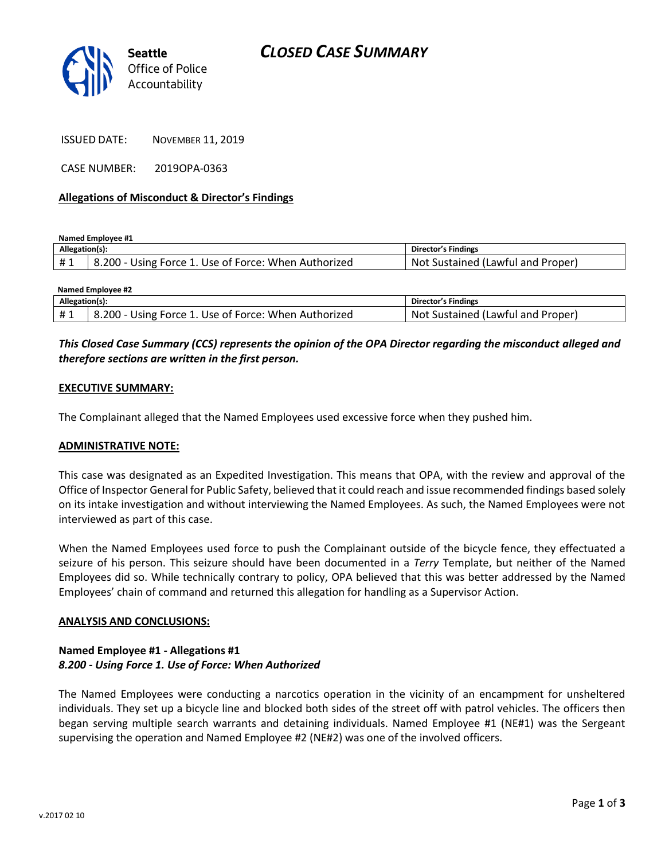

ISSUED DATE: NOVEMBER 11, 2019

CASE NUMBER: 2019OPA-0363

## **Allegations of Misconduct & Director's Findings**

**Named Employee #1**

| Allegation(s): |                                                      | Director's Findings                     |
|----------------|------------------------------------------------------|-----------------------------------------|
|                | 8.200 - Using Force 1. Use of Force: When Authorized | : Sustained (Lawful and Proper)<br>Not. |

| Named Employee #2 |                                                      |                                   |  |
|-------------------|------------------------------------------------------|-----------------------------------|--|
| Allegation(s):    |                                                      | Director's Findings               |  |
| #1                | 8.200 - Using Force 1. Use of Force: When Authorized | Not Sustained (Lawful and Proper) |  |

# *This Closed Case Summary (CCS) represents the opinion of the OPA Director regarding the misconduct alleged and therefore sections are written in the first person.*

## **EXECUTIVE SUMMARY:**

The Complainant alleged that the Named Employees used excessive force when they pushed him.

#### **ADMINISTRATIVE NOTE:**

This case was designated as an Expedited Investigation. This means that OPA, with the review and approval of the Office of Inspector General for Public Safety, believed that it could reach and issue recommended findings based solely on its intake investigation and without interviewing the Named Employees. As such, the Named Employees were not interviewed as part of this case.

When the Named Employees used force to push the Complainant outside of the bicycle fence, they effectuated a seizure of his person. This seizure should have been documented in a *Terry* Template, but neither of the Named Employees did so. While technically contrary to policy, OPA believed that this was better addressed by the Named Employees' chain of command and returned this allegation for handling as a Supervisor Action.

#### **ANALYSIS AND CONCLUSIONS:**

## **Named Employee #1 - Allegations #1** *8.200 - Using Force 1. Use of Force: When Authorized*

The Named Employees were conducting a narcotics operation in the vicinity of an encampment for unsheltered individuals. They set up a bicycle line and blocked both sides of the street off with patrol vehicles. The officers then began serving multiple search warrants and detaining individuals. Named Employee #1 (NE#1) was the Sergeant supervising the operation and Named Employee #2 (NE#2) was one of the involved officers.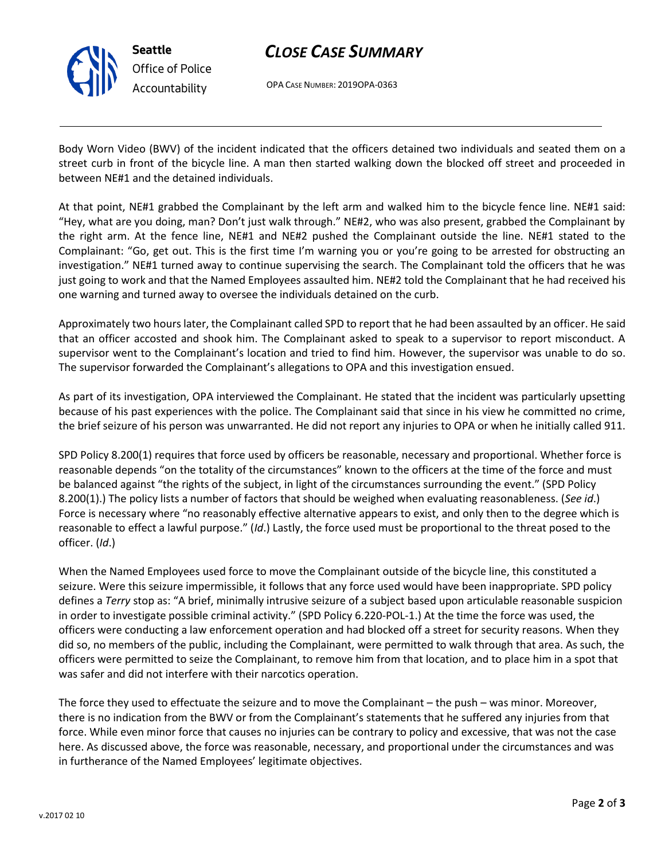

# *CLOSE CASE SUMMARY*

OPA CASE NUMBER: 2019OPA-0363

Body Worn Video (BWV) of the incident indicated that the officers detained two individuals and seated them on a street curb in front of the bicycle line. A man then started walking down the blocked off street and proceeded in between NE#1 and the detained individuals.

At that point, NE#1 grabbed the Complainant by the left arm and walked him to the bicycle fence line. NE#1 said: "Hey, what are you doing, man? Don't just walk through." NE#2, who was also present, grabbed the Complainant by the right arm. At the fence line, NE#1 and NE#2 pushed the Complainant outside the line. NE#1 stated to the Complainant: "Go, get out. This is the first time I'm warning you or you're going to be arrested for obstructing an investigation." NE#1 turned away to continue supervising the search. The Complainant told the officers that he was just going to work and that the Named Employees assaulted him. NE#2 told the Complainant that he had received his one warning and turned away to oversee the individuals detained on the curb.

Approximately two hours later, the Complainant called SPD to report that he had been assaulted by an officer. He said that an officer accosted and shook him. The Complainant asked to speak to a supervisor to report misconduct. A supervisor went to the Complainant's location and tried to find him. However, the supervisor was unable to do so. The supervisor forwarded the Complainant's allegations to OPA and this investigation ensued.

As part of its investigation, OPA interviewed the Complainant. He stated that the incident was particularly upsetting because of his past experiences with the police. The Complainant said that since in his view he committed no crime, the brief seizure of his person was unwarranted. He did not report any injuries to OPA or when he initially called 911.

SPD Policy 8.200(1) requires that force used by officers be reasonable, necessary and proportional. Whether force is reasonable depends "on the totality of the circumstances" known to the officers at the time of the force and must be balanced against "the rights of the subject, in light of the circumstances surrounding the event." (SPD Policy 8.200(1).) The policy lists a number of factors that should be weighed when evaluating reasonableness. (*See id*.) Force is necessary where "no reasonably effective alternative appears to exist, and only then to the degree which is reasonable to effect a lawful purpose." (*Id*.) Lastly, the force used must be proportional to the threat posed to the officer. (*Id*.)

When the Named Employees used force to move the Complainant outside of the bicycle line, this constituted a seizure. Were this seizure impermissible, it follows that any force used would have been inappropriate. SPD policy defines a *Terry* stop as: "A brief, minimally intrusive seizure of a subject based upon articulable reasonable suspicion in order to investigate possible criminal activity." (SPD Policy 6.220-POL-1.) At the time the force was used, the officers were conducting a law enforcement operation and had blocked off a street for security reasons. When they did so, no members of the public, including the Complainant, were permitted to walk through that area. As such, the officers were permitted to seize the Complainant, to remove him from that location, and to place him in a spot that was safer and did not interfere with their narcotics operation.

The force they used to effectuate the seizure and to move the Complainant – the push – was minor. Moreover, there is no indication from the BWV or from the Complainant's statements that he suffered any injuries from that force. While even minor force that causes no injuries can be contrary to policy and excessive, that was not the case here. As discussed above, the force was reasonable, necessary, and proportional under the circumstances and was in furtherance of the Named Employees' legitimate objectives.